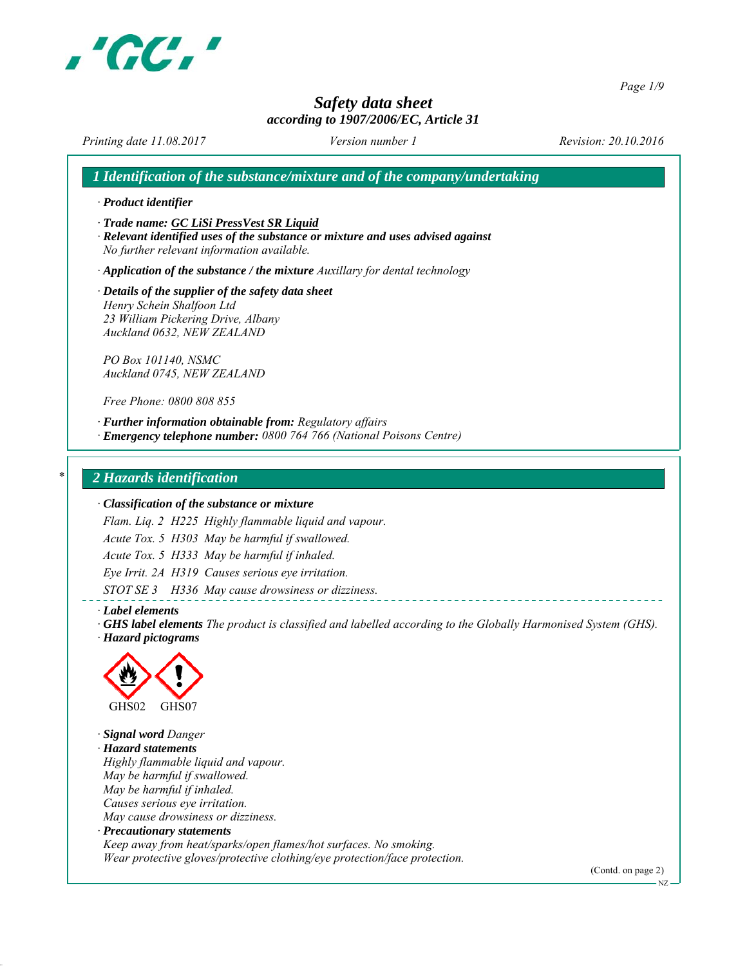

*Page 1/9*

# *Safety data sheet according to 1907/2006/EC, Article 31*

*Printing date 11.08.2017 Revision: 20.10.2016 Version number 1*

*1 Identification of the substance/mixture and of the company/undertaking*

*∙ Product identifier*

*∙ Trade name: GC LiSi PressVest SR Liquid*

*∙ Relevant identified uses of the substance or mixture and uses advised against No further relevant information available.*

*∙ Application of the substance / the mixture Auxillary for dental technology*

*∙ Details of the supplier of the safety data sheet Henry Schein Shalfoon Ltd 23 William Pickering Drive, Albany Auckland 0632, NEW ZEALAND*

*PO Box 101140, NSMC Auckland 0745, NEW ZEALAND*

*Free Phone: 0800 808 855*

*∙ Further information obtainable from: Regulatory affairs ∙ Emergency telephone number: 0800 764 766 (National Poisons Centre)*

# *\* 2 Hazards identification*

### *∙ Classification of the substance or mixture*

*Flam. Liq. 2 H225 Highly flammable liquid and vapour.*

*Acute Tox. 5 H303 May be harmful if swallowed.*

*Acute Tox. 5 H333 May be harmful if inhaled.*

*Eye Irrit. 2A H319 Causes serious eye irritation.*

*STOT SE 3 H336 May cause drowsiness or dizziness.*

*∙ Label elements*

*∙ GHS label elements The product is classified and labelled according to the Globally Harmonised System (GHS). ∙ Hazard pictograms*



*∙ Signal word Danger ∙ Hazard statements Highly flammable liquid and vapour. May be harmful if swallowed. May be harmful if inhaled. Causes serious eye irritation. May cause drowsiness or dizziness. ∙ Precautionary statements*

*Keep away from heat/sparks/open flames/hot surfaces. No smoking. Wear protective gloves/protective clothing/eye protection/face protection.*

(Contd. on page 2)

NZ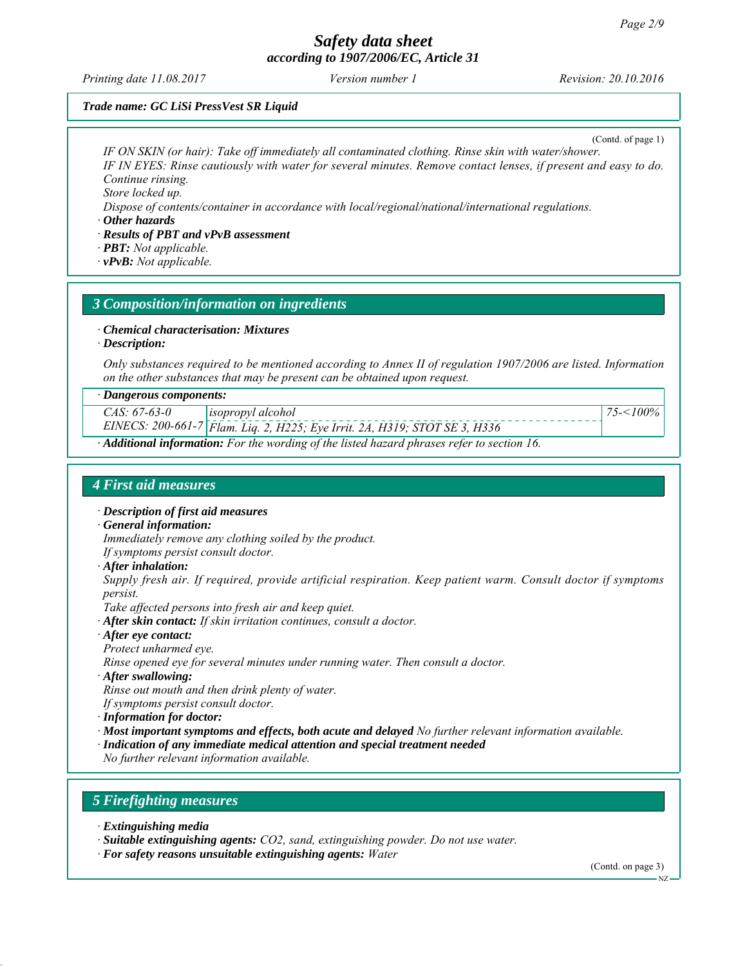*Printing date 11.08.2017 Revision: 20.10.2016 Version number 1*

## *Trade name: GC LiSi PressVest SR Liquid*

(Contd. of page 1)

*75-<100%*

*IF ON SKIN (or hair): Take off immediately all contaminated clothing. Rinse skin with water/shower. IF IN EYES: Rinse cautiously with water for several minutes. Remove contact lenses, if present and easy to do. Continue rinsing.*

*Store locked up.*

*Dispose of contents/container in accordance with local/regional/national/international regulations.*

*∙ Other hazards*

*∙ Results of PBT and vPvB assessment*

*∙ PBT: Not applicable.*

*∙ vPvB: Not applicable.*

## *3 Composition/information on ingredients*

*∙ Chemical characterisation: Mixtures*

*∙ Description:*

*Only substances required to be mentioned according to Annex II of regulation 1907/2006 are listed. Information on the other substances that may be present can be obtained upon request.*

## *∙ Dangerous components:*

*CAS: 67-63-0 isopropyl alcohol*

*EINECS: 200-661-7 Flam. Liq. 2, H225; Eye Irrit. 2A, H319; STOT SE 3, H336*

*∙ Additional information: For the wording of the listed hazard phrases refer to section 16.*

## *4 First aid measures*

*∙ Description of first aid measures*

*∙ General information:*

*Immediately remove any clothing soiled by the product.*

*If symptoms persist consult doctor.*

*∙ After inhalation:*

*Supply fresh air. If required, provide artificial respiration. Keep patient warm. Consult doctor if symptoms persist.*

*Take affected persons into fresh air and keep quiet.*

*∙ After skin contact: If skin irritation continues, consult a doctor.*

*∙ After eye contact:*

*Protect unharmed eye.*

*Rinse opened eye for several minutes under running water. Then consult a doctor.*

*∙ After swallowing:*

*Rinse out mouth and then drink plenty of water.*

- *If symptoms persist consult doctor.*
- *∙ Information for doctor:*
- *∙ Most important symptoms and effects, both acute and delayed No further relevant information available.*
- *∙ Indication of any immediate medical attention and special treatment needed*

*No further relevant information available.*

# *5 Firefighting measures*

- *∙ Extinguishing media*
- *∙ Suitable extinguishing agents: CO2, sand, extinguishing powder. Do not use water.*
- *∙ For safety reasons unsuitable extinguishing agents: Water*

(Contd. on page 3)

NZ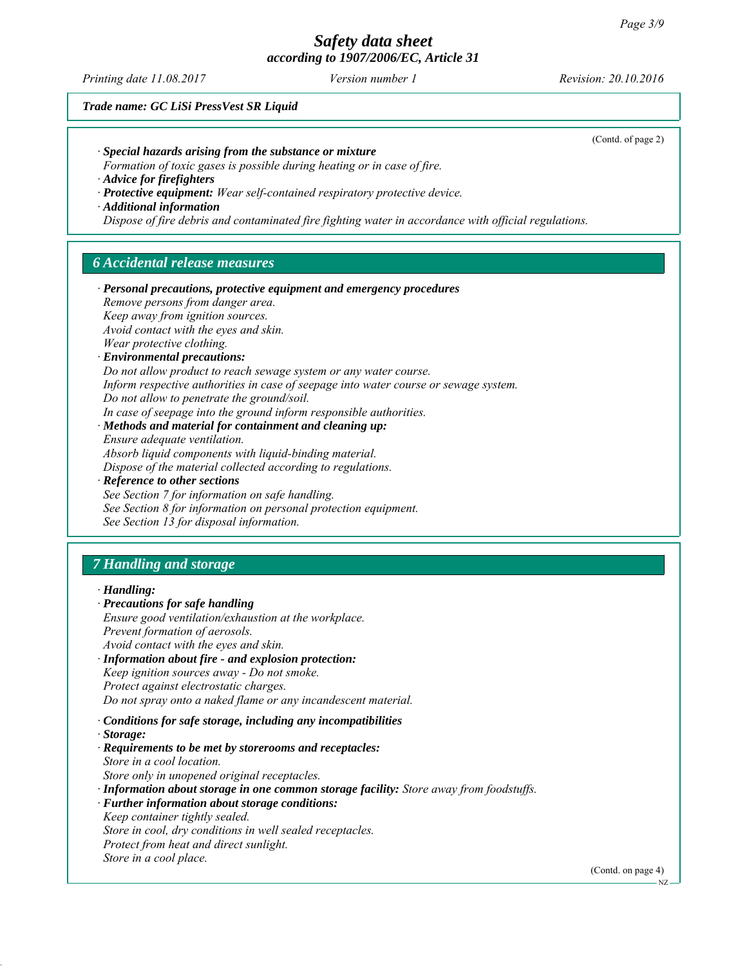*Printing date 11.08.2017 Revision: 20.10.2016 Version number 1*

(Contd. of page 2)

*Trade name: GC LiSi PressVest SR Liquid*

*∙ Special hazards arising from the substance or mixture*

*Formation of toxic gases is possible during heating or in case of fire. ∙ Advice for firefighters*

- *∙ Protective equipment: Wear self-contained respiratory protective device.*
- *∙ Additional information*

*Dispose of fire debris and contaminated fire fighting water in accordance with official regulations.*

# *6 Accidental release measures*

| · Personal precautions, protective equipment and emergency procedures                |  |  |  |  |
|--------------------------------------------------------------------------------------|--|--|--|--|
| Remove persons from danger area.                                                     |  |  |  |  |
| Keep away from ignition sources.                                                     |  |  |  |  |
| Avoid contact with the eyes and skin.                                                |  |  |  |  |
| Wear protective clothing.                                                            |  |  |  |  |
| · Environmental precautions:                                                         |  |  |  |  |
| Do not allow product to reach sewage system or any water course.                     |  |  |  |  |
| Inform respective authorities in case of seepage into water course or sewage system. |  |  |  |  |
| Do not allow to penetrate the ground/soil.                                           |  |  |  |  |
| In case of seepage into the ground inform responsible authorities.                   |  |  |  |  |
| · Methods and material for containment and cleaning up:                              |  |  |  |  |
| Ensure adequate ventilation.                                                         |  |  |  |  |
| Absorb liquid components with liquid-binding material.                               |  |  |  |  |
| Dispose of the material collected according to regulations.                          |  |  |  |  |
| · Reference to other sections                                                        |  |  |  |  |
| See Section 7 for information on safe handling.                                      |  |  |  |  |
| See Section 8 for information on personal protection equipment.                      |  |  |  |  |
| See Section 13 for disposal information.                                             |  |  |  |  |
|                                                                                      |  |  |  |  |
|                                                                                      |  |  |  |  |
| <b>7 Handling and storage</b>                                                        |  |  |  |  |
| $\cdot$ Handling:                                                                    |  |  |  |  |
| · Precautions for safe handling                                                      |  |  |  |  |
| Ensure good ventilation/exhaustion at the workplace.                                 |  |  |  |  |
| Prevent formation of aerosols.                                                       |  |  |  |  |
| Avoid contact with the eyes and skin.                                                |  |  |  |  |
| · Information about fire - and explosion protection:                                 |  |  |  |  |
| Keep ignition sources away - Do not smoke.                                           |  |  |  |  |
| Protect against electrostatic charges.                                               |  |  |  |  |
| Do not spray onto a naked flame or any incandescent material.                        |  |  |  |  |
|                                                                                      |  |  |  |  |
| $\cdot$ Conditions for safe storage, including any incompatibilities                 |  |  |  |  |
| · Storage:                                                                           |  |  |  |  |

- *∙ Requirements to be met by storerooms and receptacles: Store in a cool location. Store only in unopened original receptacles.*
- *∙ Information about storage in one common storage facility: Store away from foodstuffs.*
- *∙ Further information about storage conditions:*
- *Keep container tightly sealed.*
- *Store in cool, dry conditions in well sealed receptacles. Protect from heat and direct sunlight.*
- *Store in a cool place.*

(Contd. on page 4)

NZ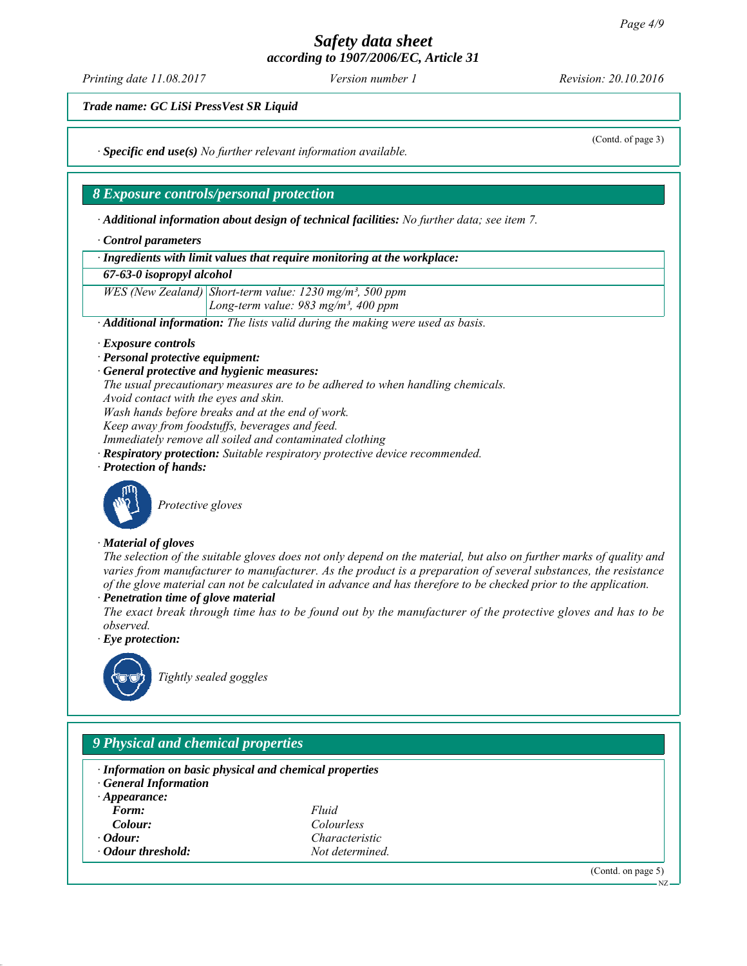*Printing date 11.08.2017 Revision: 20.10.2016 Version number 1*

(Contd. of page 3)

*Trade name: GC LiSi PressVest SR Liquid*

*∙ Specific end use(s) No further relevant information available.*

## *8 Exposure controls/personal protection*

*∙ Additional information about design of technical facilities: No further data; see item 7.*

*∙ Control parameters*

*∙ Ingredients with limit values that require monitoring at the workplace:*

*67-63-0 isopropyl alcohol*

*WES (New Zealand) Short-term value: 1230 mg/m³, 500 ppm Long-term value: 983 mg/m³, 400 ppm*

*∙ Additional information: The lists valid during the making were used as basis.*

*∙ Exposure controls*

- *∙ Personal protective equipment:*
- *∙ General protective and hygienic measures:*

*The usual precautionary measures are to be adhered to when handling chemicals.*

*Avoid contact with the eyes and skin.*

*Wash hands before breaks and at the end of work.*

*Keep away from foodstuffs, beverages and feed.*

*Immediately remove all soiled and contaminated clothing*

*∙ Respiratory protection: Suitable respiratory protective device recommended.*

*∙ Protection of hands:*



*Protective gloves*

### *∙ Material of gloves*

*The selection of the suitable gloves does not only depend on the material, but also on further marks of quality and varies from manufacturer to manufacturer. As the product is a preparation of several substances, the resistance of the glove material can not be calculated in advance and has therefore to be checked prior to the application.*

*∙ Penetration time of glove material*

*The exact break through time has to be found out by the manufacturer of the protective gloves and has to be observed.*

*∙ Eye protection:*



*Tightly sealed goggles*

# *9 Physical and chemical properties ∙ Information on basic physical and chemical properties ∙ General Information ∙ Appearance: Form: Fluid Colour: Colourless ∙ Odour: Characteristic <i>∙* Odour threshold: (Contd. on page 5) NZ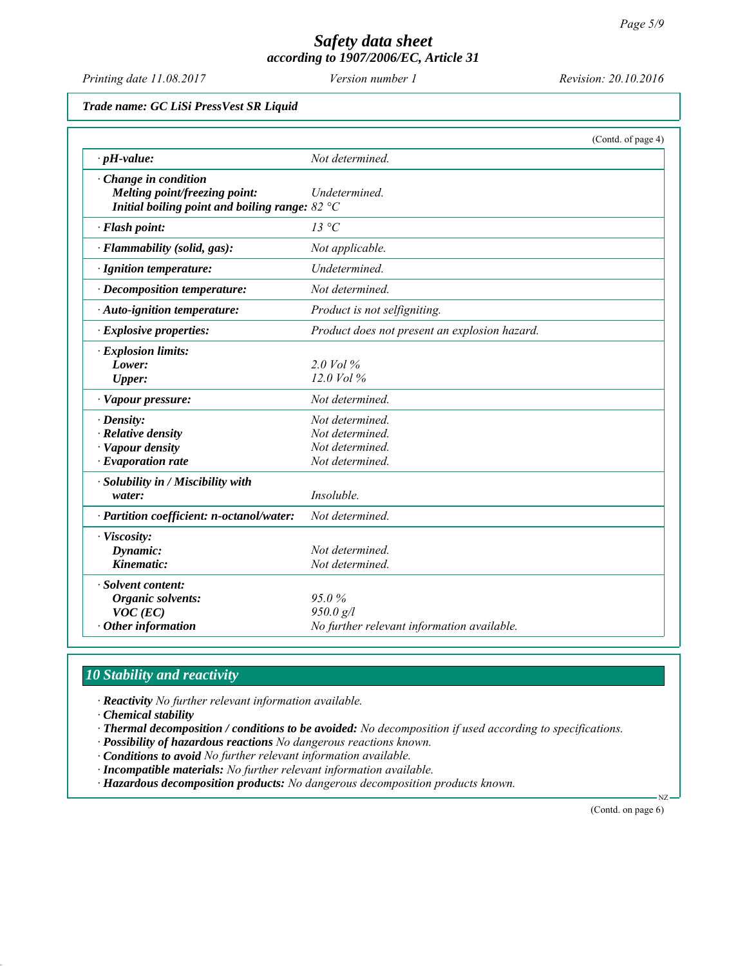*Printing date 11.08.2017 Revision: 20.10.2016 Version number 1*

*Trade name: GC LiSi PressVest SR Liquid*

|                                                                                                            | (Contd. of page 4)                                                       |
|------------------------------------------------------------------------------------------------------------|--------------------------------------------------------------------------|
| $\cdot$ pH-value:                                                                                          | Not determined.                                                          |
| · Change in condition<br>Melting point/freezing point:<br>Initial boiling point and boiling range: $82 °C$ | Undetermined.                                                            |
| · Flash point:                                                                                             | 13 °C                                                                    |
| · Flammability (solid, gas):                                                                               | Not applicable.                                                          |
| · Ignition temperature:                                                                                    | Undetermined.                                                            |
| $\cdot$ Decomposition temperature:                                                                         | Not determined.                                                          |
| $\cdot$ Auto-ignition temperature:                                                                         | Product is not selfigniting.                                             |
| $\cdot$ Explosive properties:                                                                              | Product does not present an explosion hazard.                            |
| $\cdot$ Explosion limits:<br>Lower:<br>Upper:                                                              | $2.0$ Vol $\%$<br>12.0 Vol %                                             |
| $\cdot$ Vapour pressure:                                                                                   | Not determined.                                                          |
| $\cdot$ Density:<br>$\cdot$ Relative density<br>· Vapour density<br>$\cdot$ Evaporation rate               | Not determined.<br>Not determined.<br>Not determined.<br>Not determined. |
| · Solubility in / Miscibility with<br>water:                                                               | Insoluble.                                                               |
| · Partition coefficient: n-octanol/water:                                                                  | Not determined.                                                          |
| · Viscosity:<br>Dynamic:<br>Kinematic:                                                                     | Not determined.<br>Not determined.                                       |
| · Solvent content:<br><b>Organic solvents:</b><br>$VOC$ (EC)<br>$\cdot$ Other information                  | 95.0%<br>950.0 g/l<br>No further relevant information available.         |

# *10 Stability and reactivity*

*∙ Reactivity No further relevant information available.*

*∙ Chemical stability*

*∙ Thermal decomposition / conditions to be avoided: No decomposition if used according to specifications.*

*∙ Possibility of hazardous reactions No dangerous reactions known.*

*∙ Conditions to avoid No further relevant information available.*

*∙ Incompatible materials: No further relevant information available.*

*∙ Hazardous decomposition products: No dangerous decomposition products known.*

(Contd. on page 6)

**NZ**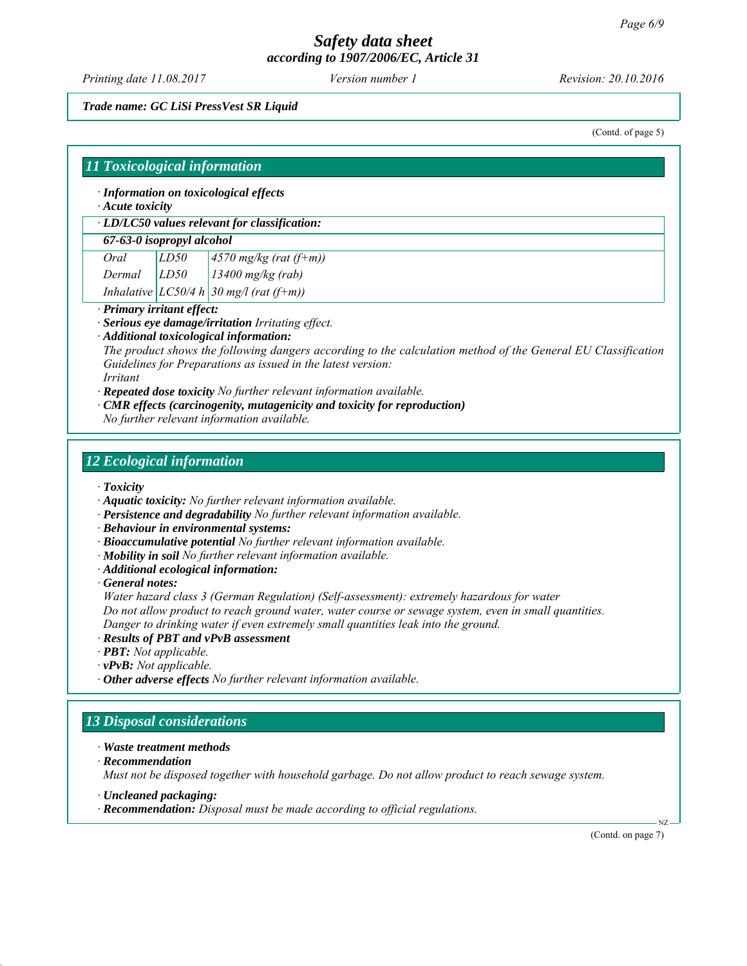*Printing date 11.08.2017 Revision: 20.10.2016 Version number 1*

*Trade name: GC LiSi PressVest SR Liquid*

(Contd. of page 5)

## *11 Toxicological information*

*∙ Information on toxicological effects*

*∙ Acute toxicity*

*∙ LD/LC50 values relevant for classification:*

## *67-63-0 isopropyl alcohol*

| Oral   | LD50 | $\left 4570 \frac{\text{mg}}{\text{kg}}\left(\text{rat } (f+m)\right)\right $ |
|--------|------|-------------------------------------------------------------------------------|
| Dermal | LD50 | $13400$ mg/kg (rab)                                                           |
|        |      | Inhalative $ LCS0/4 h $ 30 mg/l (rat (f+m))                                   |

- *∙ Primary irritant effect:*
- *∙ Serious eye damage/irritation Irritating effect.*
- *∙ Additional toxicological information:*

*The product shows the following dangers according to the calculation method of the General EU Classification Guidelines for Preparations as issued in the latest version:*

*Irritant*

- *∙ Repeated dose toxicity No further relevant information available.*
- *∙ CMR effects (carcinogenity, mutagenicity and toxicity for reproduction)*
- *No further relevant information available.*

# *12 Ecological information*

- *∙ Toxicity*
- *∙ Aquatic toxicity: No further relevant information available.*
- *∙ Persistence and degradability No further relevant information available.*
- *∙ Behaviour in environmental systems:*
- *∙ Bioaccumulative potential No further relevant information available.*
- *∙ Mobility in soil No further relevant information available.*
- *∙ Additional ecological information:*

*∙ General notes:*

*Water hazard class 3 (German Regulation) (Self-assessment): extremely hazardous for water Do not allow product to reach ground water, water course or sewage system, even in small quantities. Danger to drinking water if even extremely small quantities leak into the ground.*

- *∙ Results of PBT and vPvB assessment*
- *∙ PBT: Not applicable.*
- *∙ vPvB: Not applicable.*

*∙ Other adverse effects No further relevant information available.*

# *13 Disposal considerations*

*∙ Waste treatment methods*

*∙ Recommendation Must not be disposed together with household garbage. Do not allow product to reach sewage system.*

*∙ Uncleaned packaging:*

*∙ Recommendation: Disposal must be made according to official regulations.*

(Contd. on page 7)

NZ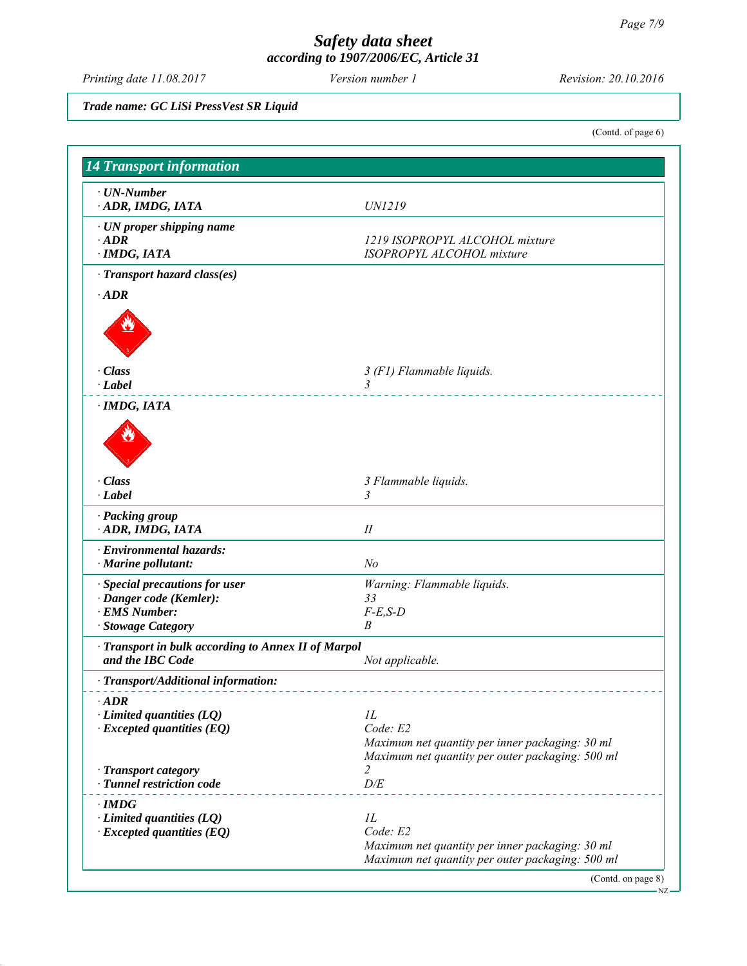*Printing date 11.08.2017 Revision: 20.10.2016 Version number 1*

*Trade name: GC LiSi PressVest SR Liquid*

(Contd. of page 6)

| <b>14 Transport information</b>                                         |                                                  |
|-------------------------------------------------------------------------|--------------------------------------------------|
| $\cdot$ UN-Number                                                       |                                                  |
| ADR, IMDG, IATA                                                         | UN1219                                           |
| $\cdot$ UN proper shipping name                                         |                                                  |
| $\cdot$ ADR                                                             | 1219 ISOPROPYL ALCOHOL mixture                   |
| · IMDG, IATA                                                            | ISOPROPYL ALCOHOL mixture                        |
| · Transport hazard class(es)                                            |                                                  |
| $\cdot$ ADR                                                             |                                                  |
|                                                                         |                                                  |
| · Class<br>$\cdot$ Label                                                | 3 (F1) Flammable liquids.<br>$\mathfrak{Z}$      |
|                                                                         |                                                  |
| $\cdot$ IMDG, IATA                                                      |                                                  |
|                                                                         |                                                  |
| · Class                                                                 | 3 Flammable liquids.                             |
| $\cdot$ Label                                                           | 3                                                |
| · Packing group<br>ADR, IMDG, IATA                                      | $I\!I$                                           |
| · Environmental hazards:                                                |                                                  |
| $\cdot$ Marine pollutant:                                               | N <sub>o</sub>                                   |
| · Special precautions for user                                          |                                                  |
| · Danger code (Kemler):                                                 | Warning: Flammable liquids.<br>33                |
| · EMS Number:                                                           | $F-E,S-D$                                        |
| · Stowage Category                                                      | B                                                |
|                                                                         |                                                  |
| · Transport in bulk according to Annex II of Marpol<br>and the IBC Code | Not applicable.                                  |
|                                                                         |                                                  |
| · Transport/Additional information:                                     |                                                  |
| $\cdot$ <i>ADR</i>                                                      |                                                  |
| $\cdot$ Limited quantities (LQ)                                         | 1L                                               |
| $\cdot$ Excepted quantities (EQ)                                        | Code: E2                                         |
|                                                                         | Maximum net quantity per inner packaging: 30 ml  |
|                                                                         | Maximum net quantity per outer packaging: 500 ml |
| · Transport category                                                    | 2<br>D/E                                         |
| · Tunnel restriction code                                               |                                                  |
| $\cdot$ IMDG                                                            |                                                  |
| $\cdot$ Limited quantities (LQ)                                         | 1L                                               |
| $\cdot$ Excepted quantities (EQ)                                        | Code: E2                                         |
|                                                                         | Maximum net quantity per inner packaging: 30 ml  |
|                                                                         | Maximum net quantity per outer packaging: 500 ml |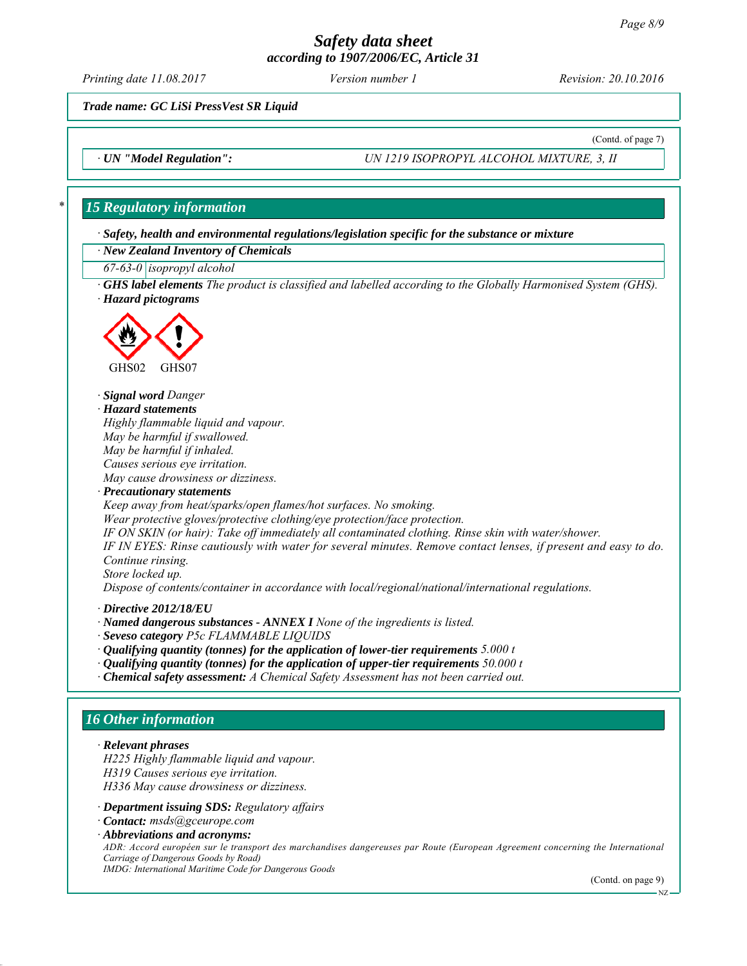*Printing date 11.08.2017 Revision: 20.10.2016 Version number 1*

*Trade name: GC LiSi PressVest SR Liquid*

(Contd. of page 7)

*∙ UN "Model Regulation": UN 1219 ISOPROPYL ALCOHOL MIXTURE, 3, II*

## *\* 15 Regulatory information*

*∙ Safety, health and environmental regulations/legislation specific for the substance or mixture*

### *∙ New Zealand Inventory of Chemicals*

*67-63-0 isopropyl alcohol*

*∙ GHS label elements The product is classified and labelled according to the Globally Harmonised System (GHS). ∙ Hazard pictograms*



### *∙ Signal word Danger*

*∙ Hazard statements Highly flammable liquid and vapour. May be harmful if swallowed. May be harmful if inhaled. Causes serious eye irritation. May cause drowsiness or dizziness.*

*∙ Precautionary statements*

*Keep away from heat/sparks/open flames/hot surfaces. No smoking. Wear protective gloves/protective clothing/eye protection/face protection. IF ON SKIN (or hair): Take off immediately all contaminated clothing. Rinse skin with water/shower. IF IN EYES: Rinse cautiously with water for several minutes. Remove contact lenses, if present and easy to do. Continue rinsing. Store locked up. Dispose of contents/container in accordance with local/regional/national/international regulations.*

*∙ Directive 2012/18/EU*

*∙ Named dangerous substances - ANNEX I None of the ingredients is listed.*

- *∙ Seveso category P5c FLAMMABLE LIQUIDS*
- *∙ Qualifying quantity (tonnes) for the application of lower-tier requirements 5.000 t*
- *∙ Qualifying quantity (tonnes) for the application of upper-tier requirements 50.000 t*
- *∙ Chemical safety assessment: A Chemical Safety Assessment has not been carried out.*

# *16 Other information*

### *∙ Relevant phrases*

*H225 Highly flammable liquid and vapour. H319 Causes serious eye irritation. H336 May cause drowsiness or dizziness.*

*∙ Department issuing SDS: Regulatory affairs*

*∙ Contact: msds@gceurope.com*

*∙ Abbreviations and acronyms:*

*ADR: Accord européen sur le transport des marchandises dangereuses par Route (European Agreement concerning the International Carriage of Dangerous Goods by Road)*

*IMDG: International Maritime Code for Dangerous Goods*

(Contd. on page 9)

NZ